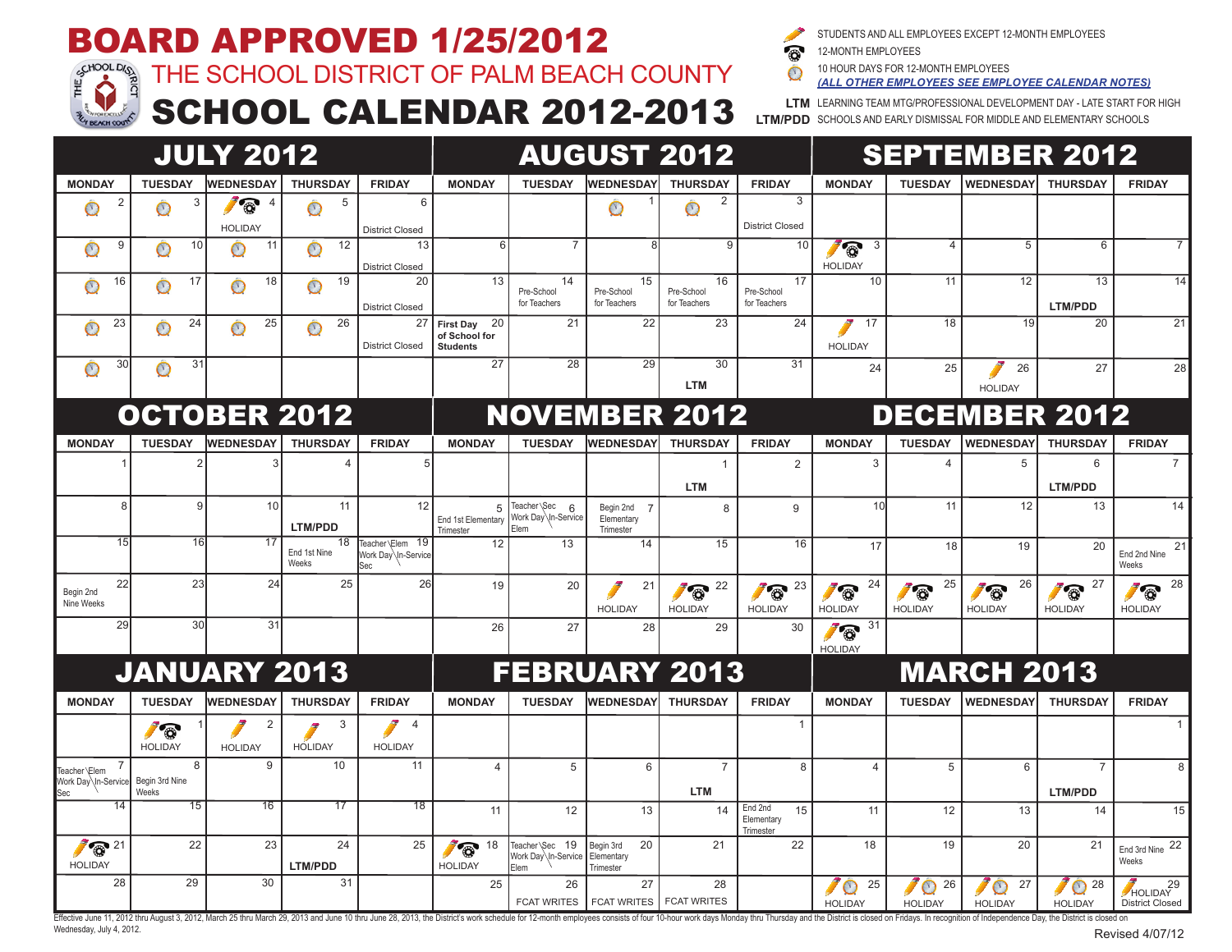# **BOARD APPROVED 1/25/2012**<br>Fig. 1 THE SCHOOL DISTRICT OF PALM BEACH



#### THE SCHOOL DISTRICT OF PALM BEACH COUNTY

STUDENTS AND ALL EMPLOYEES EXCEPT 12-MONTH EMPLOYEES

**LTM/PDD** SCHOOLS AND EARLY DISMISSAL FOR MIDDLE AND ELEMENTARY SCHOOLS

 $\bullet$ 12-MONTH EMPLOYEES

10 HOUR DAYS FOR 12-MONTH EMPLOYEES  $\bigcap$ 

**LTM** LEARNING TEAM MTG/PROFESSIONAL DEVELOPMENT DAY - LATE START FOR HIGH *(ALL OTHER EMPLOYEES SEE EMPLOYEE CALENDAR NOTES)*

## SCHOOL CALENDAR 2012-2013